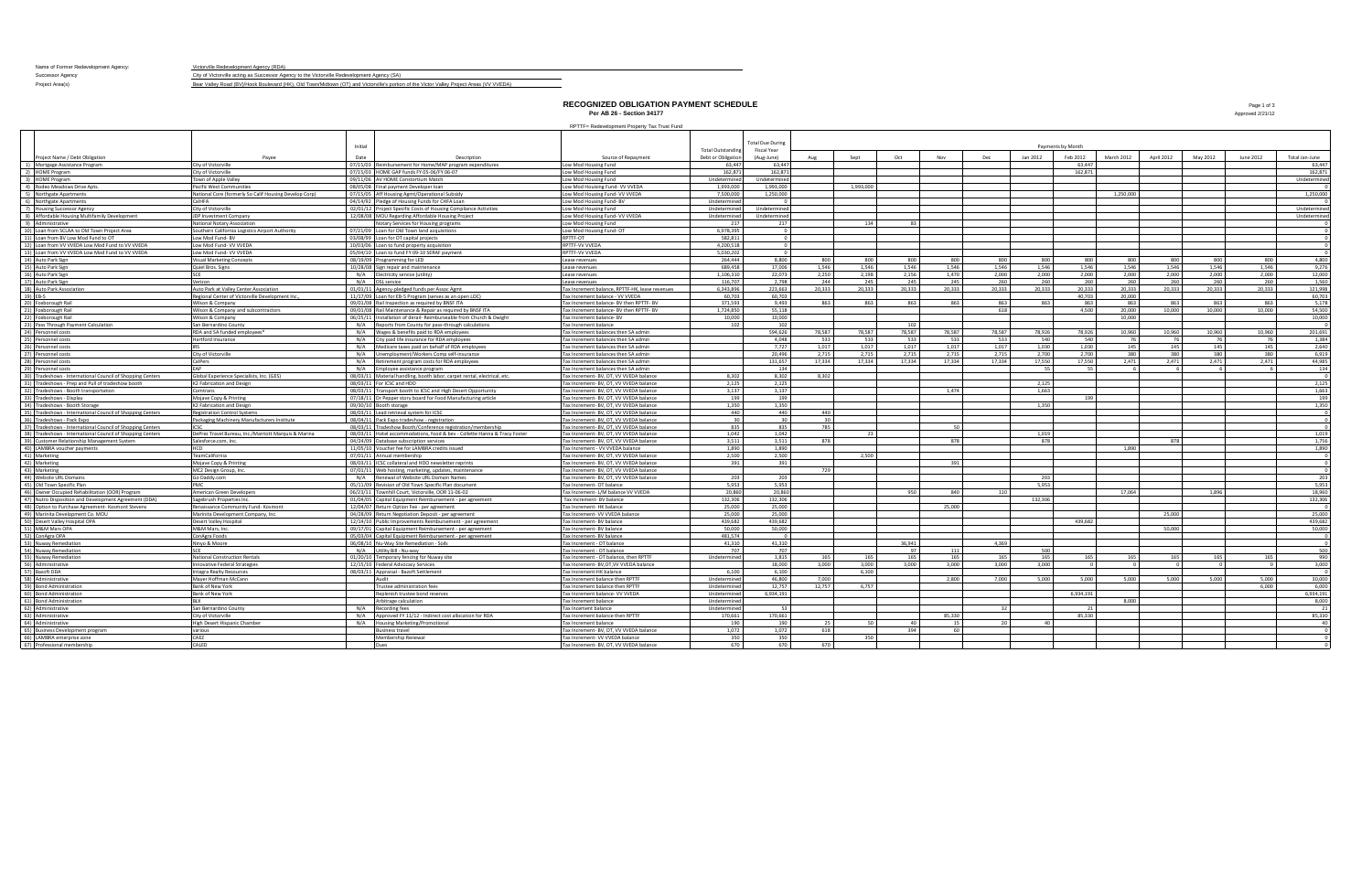Name of Former Redevelopment Agency: Victorville Redevelopment Agency (RDA)

City of Victorville acting as Successor Agency to the Victorville Redevelopment Agency (SA)<br>Project Area(s) Bear Valley Road (BV)/Hook Boulevard (HK), Old Town/Midtown (OT) and Victorville's portion of th

## **RECOGNIZED OBLIGATION PAYMENT SCHEDULE Page 1 of 3 Page 1 of 3**

**Per AB 26 - Section 34177** Approved 2/21/12

 $\overline{\phantom{0}}$  $\overline{\phantom{0}}$ 

|                                                                                                           |                                                                                    |                                                                                                                              | RPTTF= Redevelopment Property Tax Trust Fund                                       |                            |                                               |                        |              |              |              |              |              |               |              |            |              |           |                         |
|-----------------------------------------------------------------------------------------------------------|------------------------------------------------------------------------------------|------------------------------------------------------------------------------------------------------------------------------|------------------------------------------------------------------------------------|----------------------------|-----------------------------------------------|------------------------|--------------|--------------|--------------|--------------|--------------|---------------|--------------|------------|--------------|-----------|-------------------------|
|                                                                                                           |                                                                                    |                                                                                                                              |                                                                                    |                            |                                               |                        |              |              |              |              |              |               |              |            |              |           |                         |
|                                                                                                           |                                                                                    | Initial                                                                                                                      |                                                                                    | <b>Total Outstanding</b>   | <b>Total Due During</b><br><b>Fiscal Year</b> | Payments by Month      |              |              |              |              |              |               |              |            |              |           |                         |
| Project Name / Debt Obligation                                                                            | Payee                                                                              | Date<br>Description                                                                                                          | Source of Repayment                                                                | Debt or Obligatio          | (Aug-June)                                    | $\Delta \Pi \sigma$    | Sent         | Oct          | Nov          | Dec          | Jan 2012     | Feb 2012      | March 2012   | April 2012 | May 2012     | June 2012 | Total Jan-June          |
| 1) Mortgage Assistance Program                                                                            | City of Victorville                                                                | 07/15/03 Reimbursement for Home/MAP program expenditures                                                                     | Low Mod Housing Fund                                                               | 63,447                     | 63.447                                        |                        |              |              |              |              |              | 63.447        |              |            |              |           | 63,447                  |
| 2) HOME Program<br>3) HOME Program                                                                        | City of Victorville<br>own of Apple Valley                                         | 07/15/03 HOME GAP funds FY 05-06/FY 06-07<br>09/11/06 AV HOME Constortium Match                                              | Low Mod Housing Fund<br>Low Mod Housing Fund                                       | 162,871<br>Undetermine     | 162,871<br>Undetermine                        |                        |              |              |              |              |              | 162,871       |              |            |              |           | 162,871<br>Undetermined |
| 4) Rodeo Meadows Drive Apts.                                                                              | Pacific West Communities                                                           | 08/05/08 Final payment Developer loan                                                                                        | Low Mod Houising Fund- VV VVEDA                                                    | 1,993,000                  | 1,993,000                                     |                        | 1,993,000    |              |              |              |              |               |              |            |              |           |                         |
| 5) Northgate Apartments                                                                                   | National Core (formerly So Calif Housing Develop Corp)                             | 07/15/05 Aff Housing Agmt/Operational Subsidy                                                                                | Low Mod Housing Fund- VV VVEDA                                                     | 7,500,000                  | 1.250.000                                     |                        |              |              |              |              |              |               | 1.250.000    |            |              |           | 1.250.000               |
| 6) Northgate Apartments                                                                                   | CalHFA                                                                             | 04/14/92 Pledge of Housing Funds for CHFA Loan                                                                               | Low Mod Housing Fund- BV                                                           | Undetermine                |                                               |                        |              |              |              |              |              |               |              |            |              |           |                         |
| 7) Housing Successor Agency                                                                               | City of Victorville                                                                | 02/01/12 Project Specific Costs of Housing Compliance Activities                                                             | Low Mod Housing Fund                                                               | Undetermined               | Undetermined                                  |                        |              |              |              |              |              |               |              |            |              |           | Undetermined            |
| 8) Affordable Housing Multifamily Development                                                             | <b>JDP Investment Company</b>                                                      | 12/08/08 MOU Regarding Affordable Housing Project                                                                            | Low Mod Housing Fund- VV VVEDA                                                     | Undetermined               | <b>Undetermined</b>                           |                        | 134          |              |              |              |              |               |              |            |              |           | Undetermined            |
|                                                                                                           | National Notary Association<br>outhern California Logistics Airport Authority      | Notary Services for Housing programs<br>07/21/09 Loan for Old Town land acquisitions                                         | Low Mod Housing Fund<br>Low Mod Housing Fund- OT                                   | 217<br>6,978,395           | 217                                           |                        |              | 83           |              |              |              |               |              |            |              |           |                         |
| 9) Administrative<br>10) Loan from SCLAA to Old Town Project Area<br>11) Loan from BV Low Mod Fund to OT  | ow Mod Fund- BV                                                                    | 03/08/99 Loan for OT capital projects                                                                                        | RPTTF-OT                                                                           | 582.811                    | $\sim$                                        |                        |              |              |              |              |              |               |              |            |              |           |                         |
|                                                                                                           | ow Mod Fund- VV VVEDA                                                              | 10/03/06 Loan to fund property acquisition                                                                                   | RPTTF-VV VVEDA                                                                     | 4,200,518                  |                                               |                        |              |              |              |              |              |               |              |            |              |           |                         |
| 12) Loan from VV VVEDA Low Mod Fund to VV VVEDA<br>13) Loan from VV VVEDA Low Mod Fund to VV VVEDA        | ow Mod Fund- VV VVEDA                                                              | 05/04/10 Loan to fund FY 09-10 SERAF payment                                                                                 | RPTTF-VV VVEDA                                                                     | 5,030,202                  |                                               |                        |              |              |              |              |              |               |              |            |              |           |                         |
| 14) Auto Park Sign                                                                                        | <b>Isual Marketing Concepts</b>                                                    | 08/19/09 Programming for LED                                                                                                 | Lease revenues                                                                     | 264,444                    | 8,800                                         | 800                    | 800          | 800          | 800          | 800          | 800          | 800           | 800          | 800        | 800          |           | 4,800                   |
| 15) Auto Park Sign                                                                                        | Quiel Bros. Signs                                                                  | 10/28/08 Sign repair and maintenance                                                                                         | Lease revenues                                                                     | 689,458                    | 17,006                                        | 1.546                  | 1,546        | 1.546        | 1,546        | 1.546        | 1,546        | 1.546         | 1,546        | 1.546      | 1,546        | 1.546     | 9,276                   |
| 16) Auto Park Sign<br>17) Auto Park Sign                                                                  | CF.<br>Verizon                                                                     | N/A Electricity service (utility)<br>N/A DSL service                                                                         | Lease revenues<br>Lease revenues                                                   | 1,106,310<br>116,707       | 22,073<br>2.798                               | 2,250<br>744           | 2,198<br>245 | 2,156<br>245 | 1,470<br>745 | 2.000<br>260 | 2,000<br>260 | 2,000<br>260  | 2,000<br>260 | 2,000      | 2,000<br>260 | 2,000     | 12,000<br>1,560         |
| 18) Auto Park Association                                                                                 | Auto Park at Valley Center Association                                             | 01/01/11 Agency-pledged funds per Assoc Agmt                                                                                 | Tax Increment halance, RPTTF-HK, lease revenues                                    | 6,343,896                  | 223.663                                       | 20.333                 | 20.333       | 20,333       | 20.333       | 20.333       | 20.333       | 20.333        | 20.333       | 20.333     | 20.333       | 20.333    | 121.998                 |
| 19) EB-5                                                                                                  | Regional Center of Victorville Development Inc.                                    | 11/17/09 Loan for EB-5 Program (serves as an open LOC)                                                                       | Tax Increment balance - VV VVEDA                                                   | 60,703                     | 60,703                                        |                        |              |              |              |              |              | 40.703        | 20,000       |            |              |           | 60,703                  |
| 20) Foxborough Rail                                                                                       | Wilson & Company                                                                   | 09/01/08 Rail Inspection as required by BNSF ITA                                                                             | Tax Increment balance- BV then RPTTF- BV                                           | 371,593                    | 9.493                                         | 863                    | 863          | 863          | 863          | 863          | 863          | 863           | 863          | 863        | 863          | 863       | 5,178                   |
| 21) Foxborough Rail                                                                                       | Wilson & Company and subcontractors                                                | 09/01/08 Rail Maintenance & Repair as required by BNSF ITA                                                                   | Tax Increment balance- BV then RPTTF- BV                                           | 1,724,850                  | 55,118                                        |                        |              |              |              | 618          |              | 4,500         | 20,000       | 10,000     | 10,000       | 10,000    | 54,500                  |
| 22) Foxborough Rail<br>23) Pass Through Payment Calculation                                               | Wilson & Company<br>San Bernardino County                                          | 06/25/11 Installation of derail- Reimburseable from Church & Dwight<br>N/A Reports from County for pass-through calculations | Tax Increment balance-BV<br>Tax Increment balance                                  | 10,000<br>102              | 10,000<br>102                                 |                        |              |              |              |              |              |               | 10,000       |            |              |           | 10,000                  |
| 24) Personnel costs                                                                                       | RDA and SA funded employees*                                                       | N/A Wages & benefits paid to RDA employees                                                                                   | Tax Increment balances then SA admin                                               |                            | 594.626                                       | 78.587                 | 78.587       | 78.587       | 78.587       | 78.587       | 78.926       | 78.926        | 10.960       | 10.960     | 10.960       | 10.960    | 201.691                 |
| 25) Personnel costs                                                                                       | Hartford Insurance                                                                 | N/A City paid life insurance for RDA employees                                                                               | Tax Increment balances then SA admin                                               |                            | 4.048                                         | 533                    | 533          | 533          | 533          | 533          | 540          | 540           | 76           |            | 76           |           | 1.384                   |
| 26)<br>Personnel costs<br>27)<br>Personnel costs<br>28)<br>Personnel costs                                |                                                                                    | N/A Medicare taxes paid on behalf of RDA employees                                                                           | Tax Increment balances then SA admin                                               |                            | 7.727                                         | 1.017                  | 1.017        | 1.017        | 1.017        | 1.017        | 1.030        | 1.030         | 145          | 145        | 145          | 145       | 2.640                   |
|                                                                                                           | City of Victorville                                                                | N/A Unemployment/Workers Comp self-insurance                                                                                 | Tax Increment balances then SA admin                                               |                            | 20,496                                        | 2,715                  | 2,715        | 2,715        | 2,715        | 2,715        | 2,700        | 2,700         | 380          | 380        | 380          | 380       | 6,919                   |
|                                                                                                           | CalPers<br><b>EAD</b>                                                              | N/A<br>Retirement program costs for RDA employees                                                                            | Tax Increment balances then SA admin                                               |                            | 131,657<br>134                                | 17,334                 | 17.334       | 17,334       | 17,334       | 17,334       | 17,550<br>55 | 17,550<br>55. | 2,471        | 2,471      | 2.471        | 2.471     | 44,985                  |
| 29) Personnel costs<br>30) Tradeshows - International Council of Shopping Centers                         | Global Experience Specialists, Inc. (GES)                                          | N/A Employee assistance program<br>08/03/11 Material handling, booth labor, carpet rental, electrical, etc.                  | Tax Increment balances then SA admin<br>Tax Increment- BV, OT, VV VVEDA balance    | 8,302                      | 8,302                                         | 8,302                  |              |              |              |              |              |               |              |            |              |           | 134                     |
| 31) Tradeshows - Prep and Pull of tradeshow booth                                                         | K2 Fabrication and Design                                                          | 08/03/11 For ICSC and HDO                                                                                                    | Tax Increment- BV, OT, VV VVEDA balance                                            | 2,125                      | 2,125                                         |                        |              |              |              |              | 2,125        |               |              |            |              |           | 2,125                   |
|                                                                                                           | comtrans                                                                           | 08/03/11 Transport booth to ICSC and High Desert Opportunity                                                                 | Tax Increment- BV, OT, VV VVEDA balance                                            | 3,137                      | 3,137                                         |                        |              |              | 1,474        |              | 1,663        |               |              |            |              |           | 1,663                   |
| 32) Tradeshows - Booth transportation<br>33) Tradeshows - Display                                         | Moiave Copy & Printing                                                             | 07/18/11 Dr Pepper story board for Food Manufacturing article                                                                | Tax Increment- BV, OT, VV VVEDA balance                                            | 199                        | 199                                           |                        |              |              |              |              |              | 199           |              |            |              |           | 199                     |
| 34) Tradeshows - Booth Storage                                                                            | K2 Fabrication and Design                                                          | 09/30/10 Booth storage                                                                                                       | Tax Increment- BV, OT, VV VVEDA balance                                            | 1,350                      | 1,350                                         |                        |              |              |              |              | 1.350        |               |              |            |              |           | 1,350                   |
| 35) Tradeshows - International Council of Shopping Centers                                                | <b>Registration Control Systems</b><br>Packaging Machinery Manufacturers Institute | 08/03/11 Lead retrieval system for ICSC<br>08/04/11 Pack Expo tradeshow - registration                                       | Tax Increment- BV, OT, VV VVEDA balance<br>Tax Increment- BV, OT, VV VVEDA balance | 440<br>$30^{\circ}$        | 440<br>30 <sup>1</sup>                        | 440<br>30 <sup>1</sup> |              |              |              |              |              |               |              |            |              |           |                         |
| 36) Tradeshows - Pack Expo<br>37) Tradeshows - International Council of Shopping Centers                  | <b>ICSC</b>                                                                        | 08/03/11 Tradeshow Booth/Conference registration/membership                                                                  | Tax Increment- BV, OT, VV VVEDA balance                                            | 835                        | 835                                           | 785                    |              |              | 50           |              |              |               |              |            |              |           |                         |
| 38) Tradeshows - International Council of Shopping Centers                                                | DePrez Travel Bureau, Inc./Marriott Marquis & Marina                               | 08/03/11 Hotel accommodations, food & bev - Collette Hanna & Tracy Foster                                                    | Tax Increment- BV, OT, VV VVEDA balance                                            | 1,042                      | 1,042                                         |                        | 23           |              |              |              | 1,019        |               |              |            |              |           | 1,019                   |
| 39) Customer Relationship Management System                                                               | Salesforce.com. Inc.                                                               | 04/24/09 Database subscription services                                                                                      | Tax Increment- BV, OT, VV VVEDA balance                                            | 3.511                      | 3.511                                         | 878                    |              |              | 878          |              | 878          |               |              | 878        |              |           | 1.756                   |
| 40) LAMBRA voucher payments                                                                               | HCD.                                                                               | 11/05/10 Voucher fee for LAMBRA credits issued                                                                               | Tax Increment - VV VVEDA balance                                                   | 1,890                      | 1,890                                         |                        |              |              |              |              |              |               | 1.890        |            |              |           | 1,890                   |
| 41) Marketing<br>42) Marketing                                                                            | <b>TeamCalifornia</b><br>Mojave Copy & Printing                                    | 07/01/11 Annual membership<br>08/03/11 ICSC collateral and HDO newsletter reprints                                           | Tax Increment- BV, OT, VV VVEDA balance<br>Tax Increment- BV, OT, VV VVEDA balance | 2.500<br>391               | 2.500<br>391                                  |                        | 2.500        |              | 391          |              |              |               |              |            |              |           |                         |
| 43) Marketing                                                                                             | MC2 Design Group, Inc.                                                             | 07/01/11 Web hosting, marketing, updates, maintenance                                                                        | Tax Increment- BV, OT, VV VVEDA balance                                            |                            |                                               |                        |              |              |              |              |              |               |              |            |              |           |                         |
| 44) Website URL Domains                                                                                   | Go Daddy.com                                                                       | N/A Renewal of Website URL Domain Names                                                                                      | Tax Increment- BV, OT, VV VVEDA balance                                            | 203                        | 203                                           |                        |              |              |              |              | 203          |               |              |            |              |           |                         |
| 45) Old Town Specific Plan                                                                                | <b>DMC</b>                                                                         | 05/11/09 Revision of Old Town Specific Plan document                                                                         | Tax Increment- OT balance                                                          | 5,953                      | 5.953                                         |                        |              |              |              |              | 5.953        |               |              |            |              |           | 5,953                   |
| 46) Owner Occupied Rehabilitation (OOR) Program                                                           | American Green Developers                                                          | 06/23/11 Townhill Court, Victorville, OOR 11-06-02                                                                           | Tax Increment- L/M balance VV VVEDA                                                | 20,860                     | 20,860                                        |                        |              |              | 840          |              |              |               | 17,064       |            | 1.896        |           | 18,960                  |
| 47) Nutro Disposition and Development Agreement (DDA)<br>48) Option to Purchase Agreement-Kosmont Stevens | agebrush Properties Inc.                                                           | 01/04/05 Capital Equipment Reimbursement - per agreement                                                                     | Tax Increment-BV balance                                                           | 132,306                    | 132,306                                       |                        |              |              |              |              | 132,306      |               |              |            |              |           | 132,306                 |
|                                                                                                           | Renaissance Community Fund- Kosmont<br>Marinita Development Company, Inc.          | 12/04/07 Return Option Fee - per agreement<br>04/28/09 Return Negotiation Deposit - per agreement                            | Tax Increment- HK balance<br>Tax Increment- VV VVEDA balance                       | 25,000<br>25,000           | 25,000<br>25,000                              |                        |              |              | 25,000       |              |              |               |              | 25,000     |              |           | 25,000                  |
| 49) Marinita Development Co. MOU<br>50) Desert Valley Hospital OPA                                        | Jesert Valley Hospital                                                             | 12/14/10 Public Improvements Reimbursement - per agreement                                                                   | Tax Increment-BV balance                                                           | 439.682                    | 439.682                                       |                        |              |              |              |              |              | 439.682       |              |            |              |           | 439.682                 |
| 51) M&M Mars OPA                                                                                          | M&M Mars, Inc.                                                                     | 09/17/01 Capital Equipment Reimbursement - per agreement                                                                     | Tax Increment-BV balance                                                           | 50.000                     | 50,000                                        |                        |              |              |              |              |              |               |              | 50,000     |              |           | 50,000                  |
| 52) ConAgra OPA                                                                                           | ConAgra Foods                                                                      | 05/03/04 Capital Equipment Reimbursement - per agreement                                                                     | Tax Increment-BV balance                                                           | 481,574                    |                                               |                        |              |              |              |              |              |               |              |            |              |           |                         |
| 53) Nuway Remediation                                                                                     | Ninyo & Moore                                                                      | 06/08/10 Nu-Way Site Remediation - Soils                                                                                     | Tax Increment - OT balance                                                         | 41.310                     | 41.310                                        |                        |              | 36,941       |              | 4 369        |              |               |              |            |              |           |                         |
| 54) Nuway Remediation                                                                                     | SCE<br>National Construction Rentals                                               | N/A Utility Bill - Nu-way<br>01/20/10 Temporary fencing for Nuway site                                                       | Tax Increment - OT balance<br>Tax Increment - OT balance, then RPTTF               | 707<br>Undetermined        | 707<br>1,815                                  |                        | 165          | 97<br>165    | 111<br>165   |              | 500<br>165   | 165           | 165          |            | 165          |           | 500<br>990              |
| 55) Nuway Remediation<br>56) Administrative                                                               | Innovative Federal Strategies                                                      | 12/15/10 Federal Advocacy Services                                                                                           | Tax Increment- BV, OT, VV VVEDA balance                                            |                            | 18,000                                        | 3.000                  | 3.000        | 3,000        | 3,000        | 3.000        | 3.000        |               |              |            |              |           | 3.000                   |
| 57) Bazoft DDA                                                                                            | <b>Integra Realty Resources</b>                                                    | 08/03/11 Appraisal - Bazoft Settlement                                                                                       | Tax Increment-HK balance                                                           | 6,100                      | 6.100                                         |                        | 6.100        |              |              |              |              |               |              |            |              |           |                         |
| 58) Administrative                                                                                        | Mayer Hoffman McCann                                                               |                                                                                                                              | Tax Increment balance then RPTTI                                                   | Undetermine                | 46,800                                        | <b>7.000</b>           |              |              | 2,800        | 7.001        | 5.000        | 5.000         | 5.000        | 5.000      | 5.000        | 5.00      | 30,000                  |
| 59) Bond Administration                                                                                   | <b>Bank of New York</b>                                                            | <b>Trustee administration fees</b>                                                                                           | Tax Increment balance then RPTTF                                                   | Undetermine                | 12.757                                        | 12.757                 | 6.757        |              |              |              |              |               |              |            |              | 6.000     | 6.000                   |
| 60) Bond Administration<br>61) Bond Administration                                                        | <b>Bank of New York</b><br><b>RIX</b>                                              | Replenish trustee hond reserves                                                                                              | Tax Increment balance- VV VVFDA<br>Tax Increment balance                           | Undetermine<br>Undetermine | 6.934.191                                     |                        |              |              |              |              |              | 6.934.191     | 8.000        |            |              |           | 6.934.191<br>8.000      |
| 62) Administrative                                                                                        | San Bernardino County                                                              | Arbitrage calculation<br>N/A Recording fees                                                                                  | Tax Incement balance                                                               | <b>Undetermine</b>         | 52                                            |                        |              |              |              |              |              | 21            |              |            |              |           |                         |
| 63) Administrative                                                                                        | City of Victorville                                                                | N/A<br>pproved FY 11/12 - Indirect cost allocation for RDA                                                                   | Tax Increment balance then RPTTF                                                   | 170,661                    | 170,661                                       |                        |              |              | 85.330       |              |              | 85,330        |              |            |              |           | 85,330                  |
| 64) Administrative                                                                                        | High Desert Hispanic Chamber                                                       | N/A<br>Housing Marketing/Promotional                                                                                         | Tax Increment balance                                                              | 190                        | 190                                           |                        | 50           | 40           | 15           |              |              |               |              |            |              |           |                         |
| 65) Business Development program<br>66) LAMBRA enterprise zone                                            | various                                                                            | siness travel                                                                                                                | Tax Increment- BV, OT, VV VVEDA balance                                            | 1,072                      | 1,072                                         | 618                    |              | 394          | 60 l         |              |              |               |              |            |              |           |                         |
|                                                                                                           | CAEZ                                                                               | mbership Renewal                                                                                                             | Tax Increment- VV VVEDA balance                                                    | 350                        | 350                                           |                        | 350          |              |              |              |              |               |              |            |              |           |                         |
| 67) Professional membership                                                                               | CALED                                                                              |                                                                                                                              | Tax Increment- BV, OT, VV VVEDA balance                                            | 670                        | 670                                           | 670                    |              |              |              |              |              |               |              |            |              |           |                         |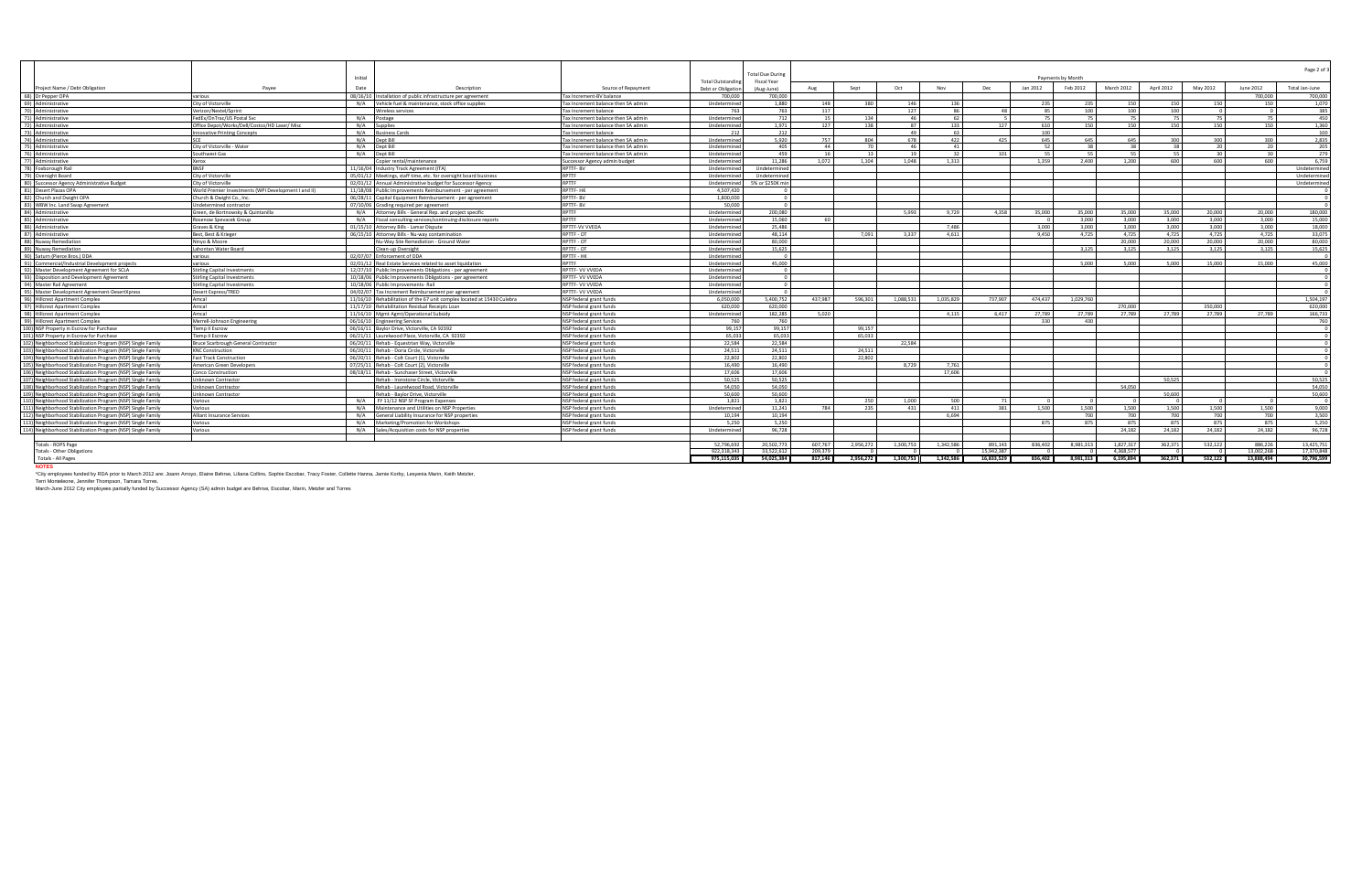| Initial<br><b>Total Outstandin</b><br>Fiscal Year<br>Oct<br>March 2012<br>Anril 2012<br>May 2012<br>Aug<br>Sent<br>Dec<br>Jan 2012<br>Feb 2012<br>Project Name / Debt Obligation<br>Date<br>Description<br>Source of Repayment<br>Nov<br>Pavee<br>Debt or Obligatio<br>(Aug-June)<br>08/16/10 Installation of public infrastructure per agreement<br>700,000<br>700,000<br>Tax Increment-BV balance<br>zarious<br>69) Administrative<br>City of Victorville<br>Vehicle fuel & maintenance, stock office supplies<br><b>Undetermine</b><br>1.880<br>380<br>235<br>150<br>N/A<br>Tax Increment balance then SA admin<br>148<br>146<br>136<br>23!<br>150<br>150<br>70) Administrative<br>763<br>100<br>Verizon/Nextel/Sprint<br>117<br>127<br>86<br>48<br>85<br>$100 -$<br>100<br>Tax Increment balance<br><b>Wireless services</b><br>76<br>712<br>75<br>71) Administrative<br>N/A Postage<br>Undetermine<br>75 I<br>FedEx/OnTrac/US Postal Svc<br>Tax Increment balance then SA admin<br>15<br>134<br>46<br>62<br>75<br>75<br>72) Administrative<br>N/A<br>1.971<br>127<br>138<br>133<br>127<br>610<br>150<br>150<br>150<br>150<br>Office Depot/Works/Dell/Costco/HD Laser/ Misc<br>Tax Increment balance then SA admin<br>Undetermine<br>87<br>ailn<br>212<br>73) Administrative<br>N/A<br>49<br>100<br>nnovative Printing Concepts<br><b>Business Cards</b><br>Tax Increment balance<br>63<br>5.920<br>74) Administrative<br>N/A<br>Undetermine<br>678<br>422<br>425<br>645<br>Dept Bill<br>Tax Increment balance then SA admin<br>757<br>804<br>645<br>300<br>300<br><b>SCF</b><br>645<br>75) Administrative<br>N/A<br>405<br>70<br>52<br>38 I<br>City of Victorville - Water<br>Dent Bill<br>Tax Increment balance then SA admir<br>Undetermine<br>44<br>46<br>41<br>38<br>20<br>$-38$<br>76) Administrative<br>459<br>55.<br>55<br>Southwest Gas<br>N/A Dent Bill<br>13<br>19 <sup>1</sup><br>32 <sup>1</sup><br>101<br>55.<br>16<br>55.<br>30 | June 2012<br>Total Jan-June<br>700.000<br>700.000<br>150<br>1.070<br>385<br>$\sqrt{ }$<br>450<br>75 L<br>150<br>1.360<br>100 |
|----------------------------------------------------------------------------------------------------------------------------------------------------------------------------------------------------------------------------------------------------------------------------------------------------------------------------------------------------------------------------------------------------------------------------------------------------------------------------------------------------------------------------------------------------------------------------------------------------------------------------------------------------------------------------------------------------------------------------------------------------------------------------------------------------------------------------------------------------------------------------------------------------------------------------------------------------------------------------------------------------------------------------------------------------------------------------------------------------------------------------------------------------------------------------------------------------------------------------------------------------------------------------------------------------------------------------------------------------------------------------------------------------------------------------------------------------------------------------------------------------------------------------------------------------------------------------------------------------------------------------------------------------------------------------------------------------------------------------------------------------------------------------------------------------------------------------------------------------------------------------------------------------------------------------------------------------|------------------------------------------------------------------------------------------------------------------------------|
| 68) Dr Pepper OPA                                                                                                                                                                                                                                                                                                                                                                                                                                                                                                                                                                                                                                                                                                                                                                                                                                                                                                                                                                                                                                                                                                                                                                                                                                                                                                                                                                                                                                                                                                                                                                                                                                                                                                                                                                                                                                                                                                                                  |                                                                                                                              |
|                                                                                                                                                                                                                                                                                                                                                                                                                                                                                                                                                                                                                                                                                                                                                                                                                                                                                                                                                                                                                                                                                                                                                                                                                                                                                                                                                                                                                                                                                                                                                                                                                                                                                                                                                                                                                                                                                                                                                    |                                                                                                                              |
|                                                                                                                                                                                                                                                                                                                                                                                                                                                                                                                                                                                                                                                                                                                                                                                                                                                                                                                                                                                                                                                                                                                                                                                                                                                                                                                                                                                                                                                                                                                                                                                                                                                                                                                                                                                                                                                                                                                                                    |                                                                                                                              |
|                                                                                                                                                                                                                                                                                                                                                                                                                                                                                                                                                                                                                                                                                                                                                                                                                                                                                                                                                                                                                                                                                                                                                                                                                                                                                                                                                                                                                                                                                                                                                                                                                                                                                                                                                                                                                                                                                                                                                    |                                                                                                                              |
|                                                                                                                                                                                                                                                                                                                                                                                                                                                                                                                                                                                                                                                                                                                                                                                                                                                                                                                                                                                                                                                                                                                                                                                                                                                                                                                                                                                                                                                                                                                                                                                                                                                                                                                                                                                                                                                                                                                                                    |                                                                                                                              |
|                                                                                                                                                                                                                                                                                                                                                                                                                                                                                                                                                                                                                                                                                                                                                                                                                                                                                                                                                                                                                                                                                                                                                                                                                                                                                                                                                                                                                                                                                                                                                                                                                                                                                                                                                                                                                                                                                                                                                    |                                                                                                                              |
|                                                                                                                                                                                                                                                                                                                                                                                                                                                                                                                                                                                                                                                                                                                                                                                                                                                                                                                                                                                                                                                                                                                                                                                                                                                                                                                                                                                                                                                                                                                                                                                                                                                                                                                                                                                                                                                                                                                                                    |                                                                                                                              |
|                                                                                                                                                                                                                                                                                                                                                                                                                                                                                                                                                                                                                                                                                                                                                                                                                                                                                                                                                                                                                                                                                                                                                                                                                                                                                                                                                                                                                                                                                                                                                                                                                                                                                                                                                                                                                                                                                                                                                    | 2.835<br>300                                                                                                                 |
|                                                                                                                                                                                                                                                                                                                                                                                                                                                                                                                                                                                                                                                                                                                                                                                                                                                                                                                                                                                                                                                                                                                                                                                                                                                                                                                                                                                                                                                                                                                                                                                                                                                                                                                                                                                                                                                                                                                                                    | 20 <sup>1</sup><br>205                                                                                                       |
| Undetermine<br>Tax Increment balance then SA admin                                                                                                                                                                                                                                                                                                                                                                                                                                                                                                                                                                                                                                                                                                                                                                                                                                                                                                                                                                                                                                                                                                                                                                                                                                                                                                                                                                                                                                                                                                                                                                                                                                                                                                                                                                                                                                                                                                 | 30 <sup>1</sup><br>279                                                                                                       |
| 77) Administrative<br>11.286<br>1.104<br>1.048<br>1.313<br>1.359<br>600<br>600<br>opier rental/maintenance<br>Undetermine<br>1.072<br>2.400<br>1.200<br><b>Kerox</b><br>Successor Agency admin budget                                                                                                                                                                                                                                                                                                                                                                                                                                                                                                                                                                                                                                                                                                                                                                                                                                                                                                                                                                                                                                                                                                                                                                                                                                                                                                                                                                                                                                                                                                                                                                                                                                                                                                                                              | 6.759<br>600                                                                                                                 |
| <b>BNSF</b><br>78) Foxborough Rail<br>11/16/04 Industry Track Agreement (ITA<br>RPTTF-BV<br>Undetermine<br>Undetermine                                                                                                                                                                                                                                                                                                                                                                                                                                                                                                                                                                                                                                                                                                                                                                                                                                                                                                                                                                                                                                                                                                                                                                                                                                                                                                                                                                                                                                                                                                                                                                                                                                                                                                                                                                                                                             | Undetermined                                                                                                                 |
| 79) Oversight Board<br>City of Victorville<br>05/01/12 Meetings, staff time, etc. for oversight board business<br>RPTTF<br>Undetermined<br>Undetermine                                                                                                                                                                                                                                                                                                                                                                                                                                                                                                                                                                                                                                                                                                                                                                                                                                                                                                                                                                                                                                                                                                                                                                                                                                                                                                                                                                                                                                                                                                                                                                                                                                                                                                                                                                                             | Undetermined                                                                                                                 |
| RPTTF<br>02/01/12 Annual Administrative budget for Successor Agency<br>80) Successor Agency Administrative Budget<br>City of Victorville<br>5% or \$250K mir<br>Undetermine                                                                                                                                                                                                                                                                                                                                                                                                                                                                                                                                                                                                                                                                                                                                                                                                                                                                                                                                                                                                                                                                                                                                                                                                                                                                                                                                                                                                                                                                                                                                                                                                                                                                                                                                                                        | Undetermined                                                                                                                 |
| <b>RPTTF-HK</b><br>81) Desert Plazas OPA<br>World Premier Investments (WPI Development I and II)<br>11/18/08 Public Improvements Reimbursement - per agreement<br>4.507.42                                                                                                                                                                                                                                                                                                                                                                                                                                                                                                                                                                                                                                                                                                                                                                                                                                                                                                                                                                                                                                                                                                                                                                                                                                                                                                                                                                                                                                                                                                                                                                                                                                                                                                                                                                         |                                                                                                                              |
| 1.800.000<br>82) Church and Dwight OPA<br>Church & Dwight Co., Inc.<br>06/28/11 Capital Equipment Reimbursement - per agreement<br>RPTTF- BV                                                                                                                                                                                                                                                                                                                                                                                                                                                                                                                                                                                                                                                                                                                                                                                                                                                                                                                                                                                                                                                                                                                                                                                                                                                                                                                                                                                                                                                                                                                                                                                                                                                                                                                                                                                                       |                                                                                                                              |
| 83) WBW Inc. Land Swap Agreement<br>07/10/06 Grading required per agreement<br>RPTTF-RV<br>50,00<br><b>Indetermined contractor</b>                                                                                                                                                                                                                                                                                                                                                                                                                                                                                                                                                                                                                                                                                                                                                                                                                                                                                                                                                                                                                                                                                                                                                                                                                                                                                                                                                                                                                                                                                                                                                                                                                                                                                                                                                                                                                 |                                                                                                                              |
| RPTTF<br>84) Administrative<br>Green, de Bortnowsky & Quintanilla<br>Attorney Bills - General Rep. and project specific<br>Undetermine<br>200.080<br>5.993<br>9.729<br>4.358<br>35,000<br>35.000<br>35.000<br>35,000<br>20,000<br>N/A                                                                                                                                                                                                                                                                                                                                                                                                                                                                                                                                                                                                                                                                                                                                                                                                                                                                                                                                                                                                                                                                                                                                                                                                                                                                                                                                                                                                                                                                                                                                                                                                                                                                                                              | 180.000<br>20,000                                                                                                            |
| 85) Administrative<br>RPTTF<br>15.060<br>3.000<br>3.000<br>3.000<br>Rosenow Spevacek Group<br>N/A Fiscal consulting services/continuing disclosure reports<br>Undetermine<br>60<br>3.000<br>$\sim$                                                                                                                                                                                                                                                                                                                                                                                                                                                                                                                                                                                                                                                                                                                                                                                                                                                                                                                                                                                                                                                                                                                                                                                                                                                                                                                                                                                                                                                                                                                                                                                                                                                                                                                                                 | 3.000<br>15.000                                                                                                              |
| 86) Administrative<br>01/15/10<br>RPTTF-VV VVEDA<br>25.486<br>3.000<br>3.000<br>3.000<br>3.000<br>Graves & King<br>Attorney Bills - Lamar Dispute<br>Undetermin<br>7.486<br>3.000                                                                                                                                                                                                                                                                                                                                                                                                                                                                                                                                                                                                                                                                                                                                                                                                                                                                                                                                                                                                                                                                                                                                                                                                                                                                                                                                                                                                                                                                                                                                                                                                                                                                                                                                                                  | 3,000<br>18,000                                                                                                              |
| 87) Administrative<br>06/15/10 Attorney Bills - Nu-way contamination<br>RPTTF - OT<br>48.114<br>9.450<br>Best, Best & Kriege<br>Undetermine<br>7.091<br>3.337<br>4.611<br>4.725<br>4.725<br>4.725<br>4.725                                                                                                                                                                                                                                                                                                                                                                                                                                                                                                                                                                                                                                                                                                                                                                                                                                                                                                                                                                                                                                                                                                                                                                                                                                                                                                                                                                                                                                                                                                                                                                                                                                                                                                                                         | 4.725<br>33.075                                                                                                              |
| 88) Nuway Remediation<br>RPTTF - OT<br>80.000<br>20.000<br>Vinyo & Moore<br>Nu-Way Site Remediation - Ground Water<br>Undetermine<br>20,000<br>20,000                                                                                                                                                                                                                                                                                                                                                                                                                                                                                                                                                                                                                                                                                                                                                                                                                                                                                                                                                                                                                                                                                                                                                                                                                                                                                                                                                                                                                                                                                                                                                                                                                                                                                                                                                                                              | 20,000<br>80.000                                                                                                             |
| 89) Nuway Remediation<br>RPTTF - OT<br>15,625<br>ahontan Water Board<br>Undetermin<br>3.125<br>3.125<br>3.125<br>Clean-up Oversight                                                                                                                                                                                                                                                                                                                                                                                                                                                                                                                                                                                                                                                                                                                                                                                                                                                                                                                                                                                                                                                                                                                                                                                                                                                                                                                                                                                                                                                                                                                                                                                                                                                                                                                                                                                                                | 15,625<br>3,125                                                                                                              |
| RPTTF - HK<br>90) Saturn (Pierce Bros.) DDA<br>various<br>02/07/07 Enforcement of DDA<br>Undetermine<br>$\sqrt{ }$                                                                                                                                                                                                                                                                                                                                                                                                                                                                                                                                                                                                                                                                                                                                                                                                                                                                                                                                                                                                                                                                                                                                                                                                                                                                                                                                                                                                                                                                                                                                                                                                                                                                                                                                                                                                                                 |                                                                                                                              |
| RPTTF<br>45.000<br>91) Commercial/Industrial Development projects<br>02/01/12 Real Estate Services related to asset liquidation<br>Undetermine<br>5.000<br>5.000<br>5.000<br>15.000<br>various                                                                                                                                                                                                                                                                                                                                                                                                                                                                                                                                                                                                                                                                                                                                                                                                                                                                                                                                                                                                                                                                                                                                                                                                                                                                                                                                                                                                                                                                                                                                                                                                                                                                                                                                                     | 15,000<br>45.000                                                                                                             |
| 92) Master Development Agreement for SCLA<br>12/27/10 Public Improvements Obligations - per agreement<br>RPTTF- VV VVEDA<br>tirling Capital Investments<br>Undetermin                                                                                                                                                                                                                                                                                                                                                                                                                                                                                                                                                                                                                                                                                                                                                                                                                                                                                                                                                                                                                                                                                                                                                                                                                                                                                                                                                                                                                                                                                                                                                                                                                                                                                                                                                                              |                                                                                                                              |
| 93) Disposition and Development Agreement<br>tirling Capital Investment<br>10/18/06 Public Improvements Obligations - per agreement<br>RPTTF- VV VVEDA<br>Undetermine<br>$\sqrt{ }$                                                                                                                                                                                                                                                                                                                                                                                                                                                                                                                                                                                                                                                                                                                                                                                                                                                                                                                                                                                                                                                                                                                                                                                                                                                                                                                                                                                                                                                                                                                                                                                                                                                                                                                                                                |                                                                                                                              |
| 94) Master Rail Agreement<br>10/18/06 Public Improvements- Rail<br>RPTTF- VV VVEDA<br>tirling Capital Investment<br>Undetermine                                                                                                                                                                                                                                                                                                                                                                                                                                                                                                                                                                                                                                                                                                                                                                                                                                                                                                                                                                                                                                                                                                                                                                                                                                                                                                                                                                                                                                                                                                                                                                                                                                                                                                                                                                                                                    |                                                                                                                              |
| 95) Master Development Agreement-DesertXpress<br>RPTTF- VV VVEDA<br>04/02/07 Tax Increment Reimbursement per agreement<br>Desert Express/TRED<br>Undetermine                                                                                                                                                                                                                                                                                                                                                                                                                                                                                                                                                                                                                                                                                                                                                                                                                                                                                                                                                                                                                                                                                                                                                                                                                                                                                                                                                                                                                                                                                                                                                                                                                                                                                                                                                                                       |                                                                                                                              |
| 96) Hillcrest Apartment Complex<br>Amcal<br>NSP federal grant funds<br>6.050.00<br>5.400.752<br>1.035.829<br>474,437<br>11/16/10 Rehabilitation of the 67 unit complex located at 15430 Culebra<br>437.987<br>596.301<br>1.088.531<br>737.907<br>1.029.760                                                                                                                                                                                                                                                                                                                                                                                                                                                                                                                                                                                                                                                                                                                                                                                                                                                                                                                                                                                                                                                                                                                                                                                                                                                                                                                                                                                                                                                                                                                                                                                                                                                                                         | 1.504.197                                                                                                                    |
| 97) Hillcrest Apartment Complex<br>11/17/10 Rehabilitation Residual Receipts Loan<br>620,000<br>620,000<br>270,000<br>350,000<br>NSP federal grant funds<br>Amcal                                                                                                                                                                                                                                                                                                                                                                                                                                                                                                                                                                                                                                                                                                                                                                                                                                                                                                                                                                                                                                                                                                                                                                                                                                                                                                                                                                                                                                                                                                                                                                                                                                                                                                                                                                                  | 620,000                                                                                                                      |
| 98) Hillcrest Apartment Complex<br>11/16/10 Mgmt Agmt/Operational Subsidy<br>182.285<br>27,789<br>27,789<br>Amcal<br>NSP federal grant funds<br>Undetermine<br>5.020<br>4.115<br>6.417<br>27.789<br>27.789<br>27.789                                                                                                                                                                                                                                                                                                                                                                                                                                                                                                                                                                                                                                                                                                                                                                                                                                                                                                                                                                                                                                                                                                                                                                                                                                                                                                                                                                                                                                                                                                                                                                                                                                                                                                                               | 27,789<br>166,733                                                                                                            |
| 06/16/10 Engineering Services<br>99) Hillcrest Apartment Complex<br>Merrell-Johnson Engineering<br>NSP federal grant funds<br>760<br>330<br>430<br>760                                                                                                                                                                                                                                                                                                                                                                                                                                                                                                                                                                                                                                                                                                                                                                                                                                                                                                                                                                                                                                                                                                                                                                                                                                                                                                                                                                                                                                                                                                                                                                                                                                                                                                                                                                                             | 760                                                                                                                          |
| 100) NSP Property in Escrow for Purchase<br>99.15<br>99.157<br>99.157<br>06/16/11 Baylor Drive, Victorville, CA 92392<br><b>Tiemp II Escrow</b><br>NSP federal grant funds                                                                                                                                                                                                                                                                                                                                                                                                                                                                                                                                                                                                                                                                                                                                                                                                                                                                                                                                                                                                                                                                                                                                                                                                                                                                                                                                                                                                                                                                                                                                                                                                                                                                                                                                                                         |                                                                                                                              |
| 101) NSP Property in Escrow for Purchase<br>65.033<br>06/21/11 Laurelwood Place, Victorville, CA 92392<br>65,03<br>65.033<br><b>Tiemp II Escrow</b><br>NSP federal grant funds                                                                                                                                                                                                                                                                                                                                                                                                                                                                                                                                                                                                                                                                                                                                                                                                                                                                                                                                                                                                                                                                                                                                                                                                                                                                                                                                                                                                                                                                                                                                                                                                                                                                                                                                                                     |                                                                                                                              |
| 22.584<br>22.584<br>102) Neighborhood Stabilization Program (NSP) Single Family<br>Bruce Scarbrough General Contractor<br>06/20/11 Rehab - Equestrian Way, Victorville<br>NSP federal grant funds<br>22.584                                                                                                                                                                                                                                                                                                                                                                                                                                                                                                                                                                                                                                                                                                                                                                                                                                                                                                                                                                                                                                                                                                                                                                                                                                                                                                                                                                                                                                                                                                                                                                                                                                                                                                                                        |                                                                                                                              |
| 24,511<br>24.511<br>103) Neighborhood Stabilization Program (NSP) Single Family<br><b>KNC Construction</b><br>06/20/11 Rehab - Doria Circle, Victorville<br>24.511<br>NSP federal grant funds                                                                                                                                                                                                                                                                                                                                                                                                                                                                                                                                                                                                                                                                                                                                                                                                                                                                                                                                                                                                                                                                                                                                                                                                                                                                                                                                                                                                                                                                                                                                                                                                                                                                                                                                                      |                                                                                                                              |
| 104) Neighborhood Stabilization Program (NSP) Single Family<br>06/20/11 Rehab - Colt Court (1), Victorville<br>22,802<br>22.802<br>22.802<br><b>Fast Track Constructio</b><br>NSP federal grant funds                                                                                                                                                                                                                                                                                                                                                                                                                                                                                                                                                                                                                                                                                                                                                                                                                                                                                                                                                                                                                                                                                                                                                                                                                                                                                                                                                                                                                                                                                                                                                                                                                                                                                                                                              |                                                                                                                              |
| 16,490<br>105) Neighborhood Stabilization Program (NSP) Single Family<br>American Green Developers<br>07/25/11 Rehab - Colt Court (2). Victorville<br>NSP federal grant funds<br>16.490<br>8.729<br>7.761                                                                                                                                                                                                                                                                                                                                                                                                                                                                                                                                                                                                                                                                                                                                                                                                                                                                                                                                                                                                                                                                                                                                                                                                                                                                                                                                                                                                                                                                                                                                                                                                                                                                                                                                          |                                                                                                                              |
| 17,606<br>106) Neighborhood Stabilization Program (NSP) Single Family<br>Conco Construction<br>17.606<br>17.606<br>08/18/11 Rehab - Sunchaser Street, Victorville<br>NSP federal grant funds                                                                                                                                                                                                                                                                                                                                                                                                                                                                                                                                                                                                                                                                                                                                                                                                                                                                                                                                                                                                                                                                                                                                                                                                                                                                                                                                                                                                                                                                                                                                                                                                                                                                                                                                                       |                                                                                                                              |
| 107) Neighborhood Stabilization Program (NSP) Single Family<br>50,525<br>50.525<br>50.525<br><b>Jnknown Contractor</b><br>Rehab - Ironstone Circle, Victorville<br>NSP federal grant funds                                                                                                                                                                                                                                                                                                                                                                                                                                                                                                                                                                                                                                                                                                                                                                                                                                                                                                                                                                                                                                                                                                                                                                                                                                                                                                                                                                                                                                                                                                                                                                                                                                                                                                                                                         | 50,525                                                                                                                       |
| 108) Neighborhood Stabilization Program (NSP) Single Family<br>Rehab - Laurelwood Road, Victorville<br>54.050<br>54.050<br>54.050<br><b>Jnknown Contractor</b><br>NSP federal grant funds                                                                                                                                                                                                                                                                                                                                                                                                                                                                                                                                                                                                                                                                                                                                                                                                                                                                                                                                                                                                                                                                                                                                                                                                                                                                                                                                                                                                                                                                                                                                                                                                                                                                                                                                                          | 54.050                                                                                                                       |
| 109) Neighborhood Stabilization Program (NSP) Single Family<br>50,600<br>50.600<br>50.600<br><b>Jnknown Contractor</b><br>Rehab - Baylor Drive, Victorville<br>NSP federal grant funds                                                                                                                                                                                                                                                                                                                                                                                                                                                                                                                                                                                                                                                                                                                                                                                                                                                                                                                                                                                                                                                                                                                                                                                                                                                                                                                                                                                                                                                                                                                                                                                                                                                                                                                                                             | 50.600                                                                                                                       |
| 110) Neighborhood Stabilization Program (NSP) Single Family<br>1,821<br>500<br>N/A<br>FY 11/12 NSP SF Program Expenses<br>NSP federal grant funds<br>1,82<br>250<br>1.000<br><b>Jarious</b><br>71                                                                                                                                                                                                                                                                                                                                                                                                                                                                                                                                                                                                                                                                                                                                                                                                                                                                                                                                                                                                                                                                                                                                                                                                                                                                                                                                                                                                                                                                                                                                                                                                                                                                                                                                                  |                                                                                                                              |
| 111) Neighborhood Stabilization Program (NSP) Single Family<br>Maintenance and Utilities on NSP Properties<br>Undetermine<br>11.241<br>235<br>411<br>381<br>1.500<br>1.500<br>1.500<br>1.500<br>1.500<br><i><b>Jarious</b></i><br>N/A<br>NSP federal grant funds<br>784<br>431                                                                                                                                                                                                                                                                                                                                                                                                                                                                                                                                                                                                                                                                                                                                                                                                                                                                                                                                                                                                                                                                                                                                                                                                                                                                                                                                                                                                                                                                                                                                                                                                                                                                     | 1.500<br>9.000                                                                                                               |
| 12) Neighborhood Stabilization Program (NSP) Single Family<br>Alliant Insurance Services<br>General Liability Insurance for NSP properties<br>10,194<br>10.194<br>6.694<br>700<br>N/A<br>NSP federal grant funds<br>700<br>700<br>700                                                                                                                                                                                                                                                                                                                                                                                                                                                                                                                                                                                                                                                                                                                                                                                                                                                                                                                                                                                                                                                                                                                                                                                                                                                                                                                                                                                                                                                                                                                                                                                                                                                                                                              | 700<br>3.500                                                                                                                 |
| 113) Neighborhood Stabilization Program (NSP) Single Family<br>5,250<br>5,25<br>875<br>875<br>N/A<br>Marketing/Promotion for Workshop<br>875<br>875<br><b>Jarious</b><br>NSP federal grant funds<br>875                                                                                                                                                                                                                                                                                                                                                                                                                                                                                                                                                                                                                                                                                                                                                                                                                                                                                                                                                                                                                                                                                                                                                                                                                                                                                                                                                                                                                                                                                                                                                                                                                                                                                                                                            | 5,250<br>875                                                                                                                 |
| 114) Neighborhood Stabilization Program (NSP) Single Family<br><b>Jarious</b><br>Sales/Acquisition costs for NSP properties<br>96.728<br>24.182<br>24.182<br>24.182<br>N/A<br>NSP federal grant funds<br>Undetermine                                                                                                                                                                                                                                                                                                                                                                                                                                                                                                                                                                                                                                                                                                                                                                                                                                                                                                                                                                                                                                                                                                                                                                                                                                                                                                                                                                                                                                                                                                                                                                                                                                                                                                                               | 24.182<br>96.728                                                                                                             |
|                                                                                                                                                                                                                                                                                                                                                                                                                                                                                                                                                                                                                                                                                                                                                                                                                                                                                                                                                                                                                                                                                                                                                                                                                                                                                                                                                                                                                                                                                                                                                                                                                                                                                                                                                                                                                                                                                                                                                    |                                                                                                                              |
| 52.796.69<br>20,502.77<br>2,956,272<br>1.300.753<br>1.342.586<br>836.402<br>8.981.3<br>1.827.31<br>362,371<br>532.122<br>Totals - ROPS Page<br>607,76<br>891,14                                                                                                                                                                                                                                                                                                                                                                                                                                                                                                                                                                                                                                                                                                                                                                                                                                                                                                                                                                                                                                                                                                                                                                                                                                                                                                                                                                                                                                                                                                                                                                                                                                                                                                                                                                                    | 13,425,751<br>886,226                                                                                                        |
| <b>Totals - Other Obligations</b><br>922.318.34<br>15,942,38<br>4.368.57<br>33,522,61<br>209.37                                                                                                                                                                                                                                                                                                                                                                                                                                                                                                                                                                                                                                                                                                                                                                                                                                                                                                                                                                                                                                                                                                                                                                                                                                                                                                                                                                                                                                                                                                                                                                                                                                                                                                                                                                                                                                                    | 17,370,848<br>13,002,268                                                                                                     |
| 54,025,384<br>16.833.529<br>836,402<br>6.195.894<br>362,371<br><b>Totals - All Pages</b><br>975.115.035<br>817,146<br>2,956,272<br>1,300,753 1,342,586<br>8,981,313<br>532,122                                                                                                                                                                                                                                                                                                                                                                                                                                                                                                                                                                                                                                                                                                                                                                                                                                                                                                                                                                                                                                                                                                                                                                                                                                                                                                                                                                                                                                                                                                                                                                                                                                                                                                                                                                     | 30,796,599<br>13.888.494                                                                                                     |

**NOTES**<br>"City employees funded by RDA prior to March 2012 are: Joann Arroyo, Elaine Behrse, Liliana Collins, Sophie Escobar, Tracy Foster, Collette Hanna, Jamie Korby, Lesyenia Marin, Keith Metzler,<br>Terri Monteleone, Jenni